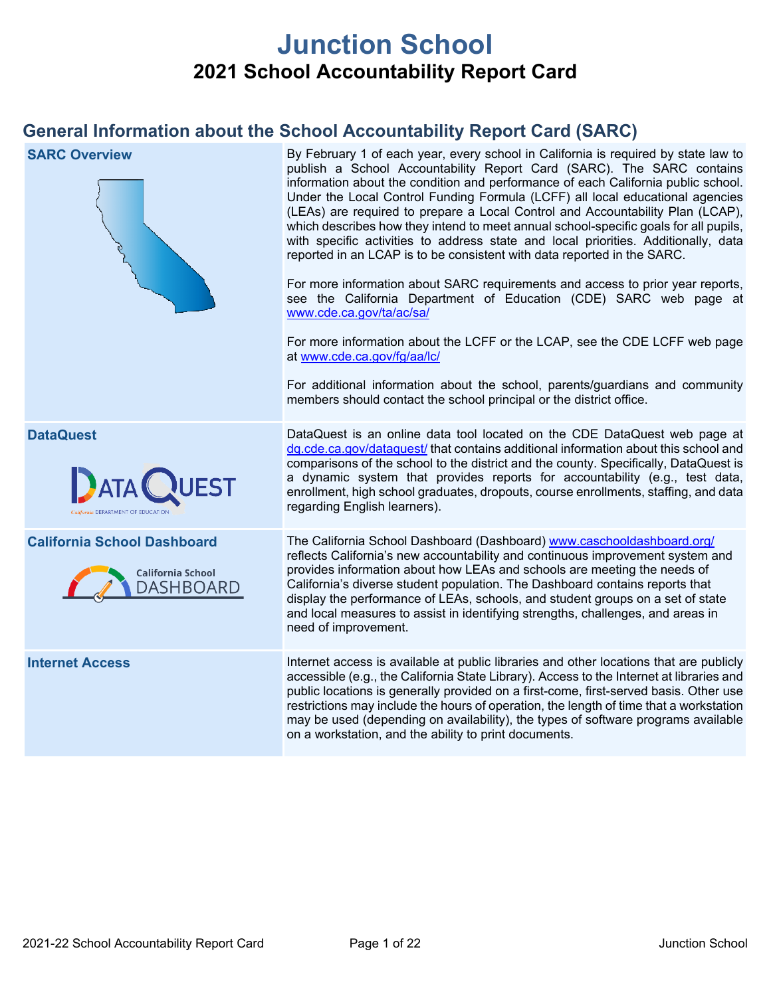# **Junction School 2021 School Accountability Report Card**

## **General Information about the School Accountability Report Card (SARC)**

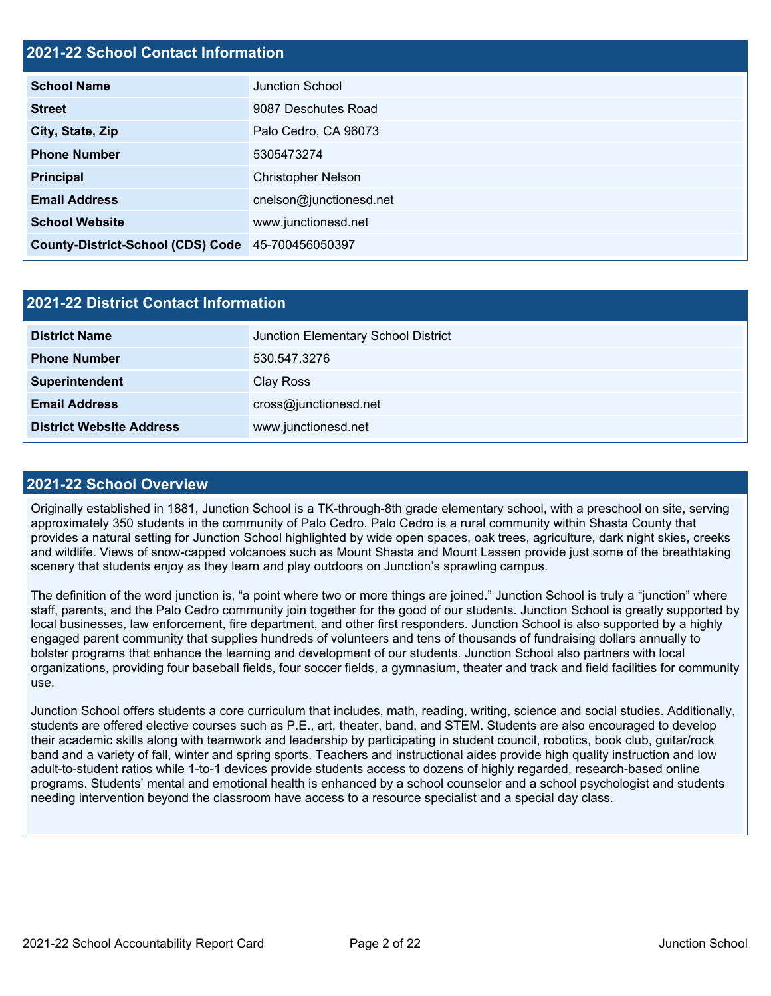### **2021-22 School Contact Information**

| <b>School Name</b>                                | <b>Junction School</b>    |
|---------------------------------------------------|---------------------------|
| <b>Street</b>                                     | 9087 Deschutes Road       |
| City, State, Zip                                  | Palo Cedro, CA 96073      |
| <b>Phone Number</b>                               | 5305473274                |
| <b>Principal</b>                                  | <b>Christopher Nelson</b> |
| <b>Email Address</b>                              | cnelson@junctionesd.net   |
| <b>School Website</b>                             | www.junctionesd.net       |
| County-District-School (CDS) Code 45-700456050397 |                           |

| 2021-22 District Contact Information |                                     |  |  |  |
|--------------------------------------|-------------------------------------|--|--|--|
| <b>District Name</b>                 | Junction Elementary School District |  |  |  |
| <b>Phone Number</b>                  | 530.547.3276                        |  |  |  |
| Superintendent                       | Clay Ross                           |  |  |  |
| <b>Email Address</b>                 | cross@junctionesd.net               |  |  |  |
| <b>District Website Address</b>      | www.junctionesd.net                 |  |  |  |

#### **2021-22 School Overview**

Originally established in 1881, Junction School is a TK-through-8th grade elementary school, with a preschool on site, serving approximately 350 students in the community of Palo Cedro. Palo Cedro is a rural community within Shasta County that provides a natural setting for Junction School highlighted by wide open spaces, oak trees, agriculture, dark night skies, creeks and wildlife. Views of snow-capped volcanoes such as Mount Shasta and Mount Lassen provide just some of the breathtaking scenery that students enjoy as they learn and play outdoors on Junction's sprawling campus.

The definition of the word junction is, "a point where two or more things are joined." Junction School is truly a "junction" where staff, parents, and the Palo Cedro community join together for the good of our students. Junction School is greatly supported by local businesses, law enforcement, fire department, and other first responders. Junction School is also supported by a highly engaged parent community that supplies hundreds of volunteers and tens of thousands of fundraising dollars annually to bolster programs that enhance the learning and development of our students. Junction School also partners with local organizations, providing four baseball fields, four soccer fields, a gymnasium, theater and track and field facilities for community use.

Junction School offers students a core curriculum that includes, math, reading, writing, science and social studies. Additionally, students are offered elective courses such as P.E., art, theater, band, and STEM. Students are also encouraged to develop their academic skills along with teamwork and leadership by participating in student council, robotics, book club, guitar/rock band and a variety of fall, winter and spring sports. Teachers and instructional aides provide high quality instruction and low adult-to-student ratios while 1-to-1 devices provide students access to dozens of highly regarded, research-based online programs. Students' mental and emotional health is enhanced by a school counselor and a school psychologist and students needing intervention beyond the classroom have access to a resource specialist and a special day class.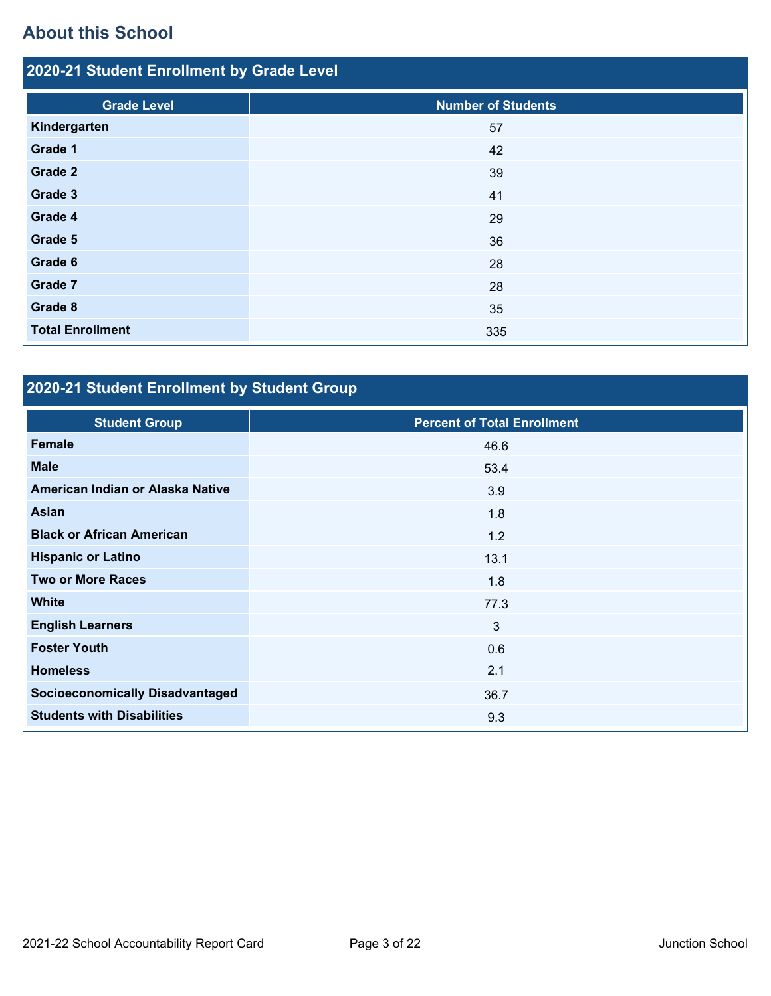## **About this School**

| 2020-21 Student Enrollment by Grade Level |                           |  |  |  |  |
|-------------------------------------------|---------------------------|--|--|--|--|
| <b>Grade Level</b>                        | <b>Number of Students</b> |  |  |  |  |
| Kindergarten                              | 57                        |  |  |  |  |
|                                           |                           |  |  |  |  |
| <b>Grade 1</b>                            | 42                        |  |  |  |  |
| <b>Grade 2</b>                            | 39                        |  |  |  |  |
| Grade 3                                   | 41                        |  |  |  |  |
| Grade 4                                   | 29                        |  |  |  |  |
| Grade 5                                   | 36                        |  |  |  |  |
| Grade 6                                   | 28                        |  |  |  |  |
| Grade 7                                   | 28                        |  |  |  |  |
| Grade 8                                   | 35                        |  |  |  |  |
| <b>Total Enrollment</b>                   | 335                       |  |  |  |  |

# **2020-21 Student Enrollment by Student Group**

| <b>Percent of Total Enrollment</b> |
|------------------------------------|
| 46.6                               |
| 53.4                               |
| 3.9                                |
| 1.8                                |
| 1.2                                |
| 13.1                               |
| 1.8                                |
| 77.3                               |
| 3                                  |
| 0.6                                |
| 2.1                                |
| 36.7                               |
| 9.3                                |
|                                    |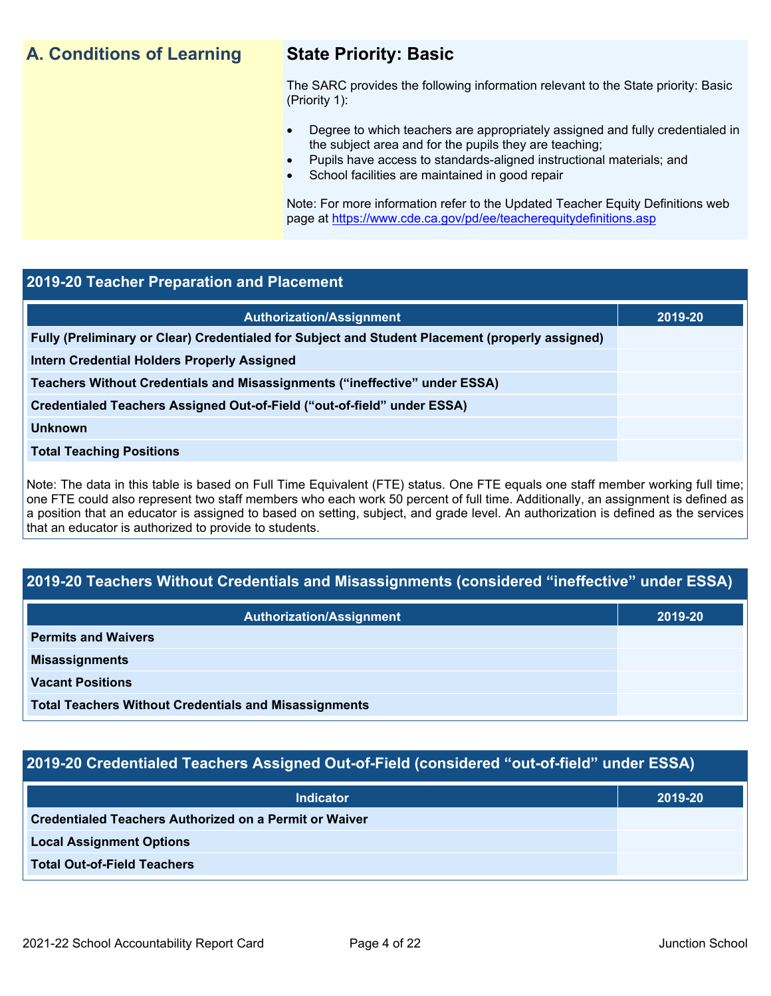## **A. Conditions of Learning State Priority: Basic**

The SARC provides the following information relevant to the State priority: Basic (Priority 1):

- Degree to which teachers are appropriately assigned and fully credentialed in the subject area and for the pupils they are teaching;
	- Pupils have access to standards-aligned instructional materials; and
- School facilities are maintained in good repair

Note: For more information refer to the Updated Teacher Equity Definitions web page at <https://www.cde.ca.gov/pd/ee/teacherequitydefinitions.asp>

#### **2019-20 Teacher Preparation and Placement**

| <b>Authorization/Assignment</b>                                                                 | 2019-20 |
|-------------------------------------------------------------------------------------------------|---------|
| Fully (Preliminary or Clear) Credentialed for Subject and Student Placement (properly assigned) |         |
| <b>Intern Credential Holders Properly Assigned</b>                                              |         |
| Teachers Without Credentials and Misassignments ("ineffective" under ESSA)                      |         |
| Credentialed Teachers Assigned Out-of-Field ("out-of-field" under ESSA)                         |         |
| <b>Unknown</b>                                                                                  |         |
| <b>Total Teaching Positions</b>                                                                 |         |
|                                                                                                 |         |

Note: The data in this table is based on Full Time Equivalent (FTE) status. One FTE equals one staff member working full time; one FTE could also represent two staff members who each work 50 percent of full time. Additionally, an assignment is defined as a position that an educator is assigned to based on setting, subject, and grade level. An authorization is defined as the services that an educator is authorized to provide to students.

### **2019-20 Teachers Without Credentials and Misassignments (considered "ineffective" under ESSA)**

| <b>Authorization/Assignment</b>                              | 2019-20 |
|--------------------------------------------------------------|---------|
| <b>Permits and Waivers</b>                                   |         |
| <b>Misassignments</b>                                        |         |
| <b>Vacant Positions</b>                                      |         |
| <b>Total Teachers Without Credentials and Misassignments</b> |         |

### **2019-20 Credentialed Teachers Assigned Out-of-Field (considered "out-of-field" under ESSA)**

| <b>Indicator</b>                                       | 2019-20 |
|--------------------------------------------------------|---------|
| Credentialed Teachers Authorized on a Permit or Waiver |         |
| <b>Local Assignment Options</b>                        |         |
| <b>Total Out-of-Field Teachers</b>                     |         |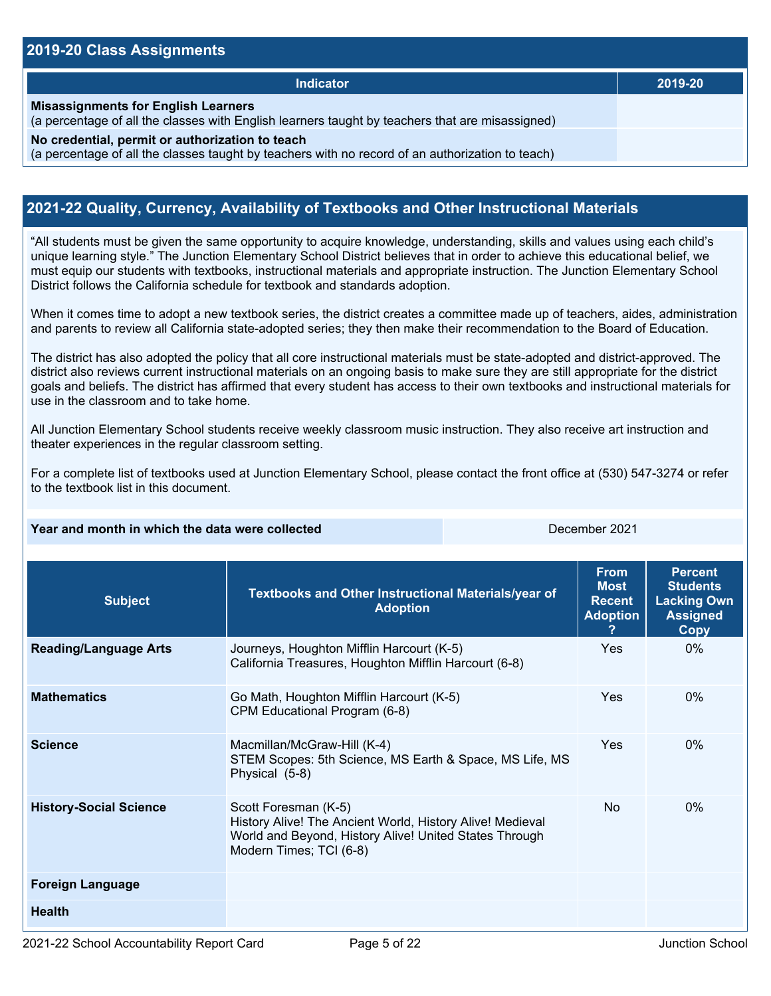#### **2019-20 Class Assignments**

| <b>Indicator</b>                                                                                                                                    | 2019-20 |
|-----------------------------------------------------------------------------------------------------------------------------------------------------|---------|
| <b>Misassignments for English Learners</b><br>(a percentage of all the classes with English learners taught by teachers that are misassigned)       |         |
| No credential, permit or authorization to teach<br>(a percentage of all the classes taught by teachers with no record of an authorization to teach) |         |

### **2021-22 Quality, Currency, Availability of Textbooks and Other Instructional Materials**

"All students must be given the same opportunity to acquire knowledge, understanding, skills and values using each child's unique learning style." The Junction Elementary School District believes that in order to achieve this educational belief, we must equip our students with textbooks, instructional materials and appropriate instruction. The Junction Elementary School District follows the California schedule for textbook and standards adoption.

When it comes time to adopt a new textbook series, the district creates a committee made up of teachers, aides, administration and parents to review all California state-adopted series; they then make their recommendation to the Board of Education.

The district has also adopted the policy that all core instructional materials must be state-adopted and district-approved. The district also reviews current instructional materials on an ongoing basis to make sure they are still appropriate for the district goals and beliefs. The district has affirmed that every student has access to their own textbooks and instructional materials for use in the classroom and to take home.

All Junction Elementary School students receive weekly classroom music instruction. They also receive art instruction and theater experiences in the regular classroom setting.

For a complete list of textbooks used at Junction Elementary School, please contact the front office at (530) 547-3274 or refer to the textbook list in this document.

#### **Year and month in which the data were collected** December 2021

| <b>Subject</b>                | Textbooks and Other Instructional Materials/year of<br><b>Adoption</b>                                                                                                 | <b>From</b><br><b>Most</b><br><b>Recent</b><br><b>Adoption</b> | <b>Percent</b><br><b>Students</b><br><b>Lacking Own</b><br><b>Assigned</b><br>Copy |
|-------------------------------|------------------------------------------------------------------------------------------------------------------------------------------------------------------------|----------------------------------------------------------------|------------------------------------------------------------------------------------|
| <b>Reading/Language Arts</b>  | Journeys, Houghton Mifflin Harcourt (K-5)<br>California Treasures, Houghton Mifflin Harcourt (6-8)                                                                     | <b>Yes</b>                                                     | $0\%$                                                                              |
| <b>Mathematics</b>            | Go Math, Houghton Mifflin Harcourt (K-5)<br>CPM Educational Program (6-8)                                                                                              | Yes                                                            | $0\%$                                                                              |
| <b>Science</b>                | Macmillan/McGraw-Hill (K-4)<br>STEM Scopes: 5th Science, MS Earth & Space, MS Life, MS<br>Physical (5-8)                                                               | Yes                                                            | $0\%$                                                                              |
| <b>History-Social Science</b> | Scott Foresman (K-5)<br>History Alive! The Ancient World, History Alive! Medieval<br>World and Beyond, History Alive! United States Through<br>Modern Times; TCI (6-8) | <b>No</b>                                                      | $0\%$                                                                              |
| <b>Foreign Language</b>       |                                                                                                                                                                        |                                                                |                                                                                    |
| <b>Health</b>                 |                                                                                                                                                                        |                                                                |                                                                                    |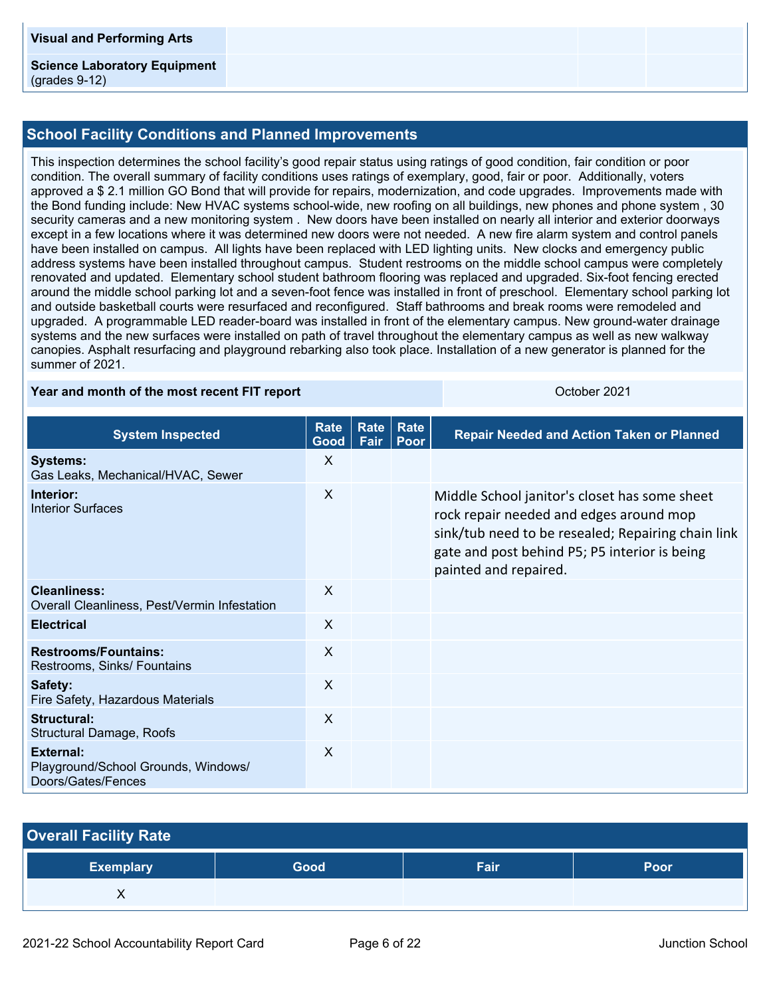#### **Science Laboratory Equipment** (grades 9-12)

#### **School Facility Conditions and Planned Improvements**

This inspection determines the school facility's good repair status using ratings of good condition, fair condition or poor condition. The overall summary of facility conditions uses ratings of exemplary, good, fair or poor. Additionally, voters approved a \$ 2.1 million GO Bond that will provide for repairs, modernization, and code upgrades. Improvements made with the Bond funding include: New HVAC systems school-wide, new roofing on all buildings, new phones and phone system , 30 security cameras and a new monitoring system . New doors have been installed on nearly all interior and exterior doorways except in a few locations where it was determined new doors were not needed. A new fire alarm system and control panels have been installed on campus. All lights have been replaced with LED lighting units. New clocks and emergency public address systems have been installed throughout campus. Student restrooms on the middle school campus were completely renovated and updated. Elementary school student bathroom flooring was replaced and upgraded. Six-foot fencing erected around the middle school parking lot and a seven-foot fence was installed in front of preschool. Elementary school parking lot and outside basketball courts were resurfaced and reconfigured. Staff bathrooms and break rooms were remodeled and upgraded. A programmable LED reader-board was installed in front of the elementary campus. New ground-water drainage systems and the new surfaces were installed on path of travel throughout the elementary campus as well as new walkway canopies. Asphalt resurfacing and playground rebarking also took place. Installation of a new generator is planned for the summer of 2021.

#### **Year and month of the most recent FIT report** Number 2021 Companion Corporation Corporation Corporation Corporation

| <b>System Inspected</b>                                                       | <b>Rate</b><br>Good       | <b>Rate</b><br>Fair | Rate<br>Poor | <b>Repair Needed and Action Taken or Planned</b>                                                                                                                                                                         |
|-------------------------------------------------------------------------------|---------------------------|---------------------|--------------|--------------------------------------------------------------------------------------------------------------------------------------------------------------------------------------------------------------------------|
| <b>Systems:</b><br>Gas Leaks, Mechanical/HVAC, Sewer                          | X                         |                     |              |                                                                                                                                                                                                                          |
| Interior:<br><b>Interior Surfaces</b>                                         | X                         |                     |              | Middle School janitor's closet has some sheet<br>rock repair needed and edges around mop<br>sink/tub need to be resealed; Repairing chain link<br>gate and post behind P5; P5 interior is being<br>painted and repaired. |
| Cleanliness:<br>Overall Cleanliness, Pest/Vermin Infestation                  | $\boldsymbol{\mathsf{X}}$ |                     |              |                                                                                                                                                                                                                          |
| <b>Electrical</b>                                                             | $\mathsf{X}$              |                     |              |                                                                                                                                                                                                                          |
| <b>Restrooms/Fountains:</b><br>Restrooms, Sinks/ Fountains                    | $\sf X$                   |                     |              |                                                                                                                                                                                                                          |
| Safety:<br>Fire Safety, Hazardous Materials                                   | $\times$                  |                     |              |                                                                                                                                                                                                                          |
| Structural:<br><b>Structural Damage, Roofs</b>                                | $\sf X$                   |                     |              |                                                                                                                                                                                                                          |
| <b>External:</b><br>Playground/School Grounds, Windows/<br>Doors/Gates/Fences | $\mathsf{X}$              |                     |              |                                                                                                                                                                                                                          |

| <b>Overall Facility Rate</b> |      |      |      |
|------------------------------|------|------|------|
| <b>Exemplary</b>             | Good | Fair | Poor |
|                              |      |      |      |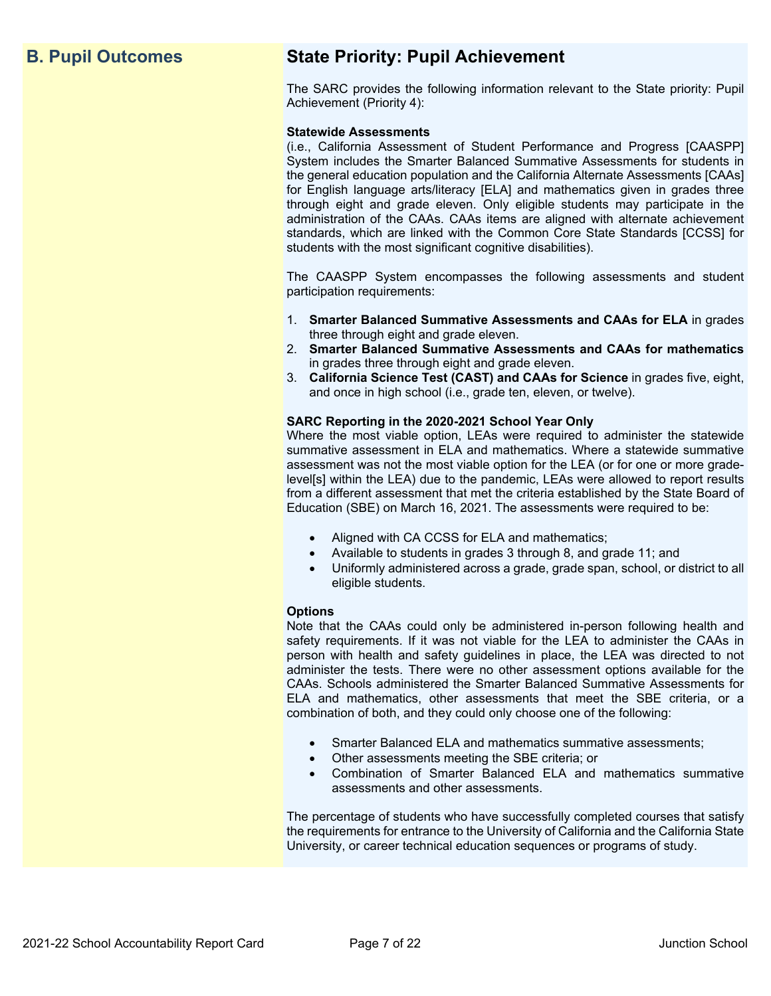## **B. Pupil Outcomes State Priority: Pupil Achievement**

The SARC provides the following information relevant to the State priority: Pupil Achievement (Priority 4):

#### **Statewide Assessments**

(i.e., California Assessment of Student Performance and Progress [CAASPP] System includes the Smarter Balanced Summative Assessments for students in the general education population and the California Alternate Assessments [CAAs] for English language arts/literacy [ELA] and mathematics given in grades three through eight and grade eleven. Only eligible students may participate in the administration of the CAAs. CAAs items are aligned with alternate achievement standards, which are linked with the Common Core State Standards [CCSS] for students with the most significant cognitive disabilities).

The CAASPP System encompasses the following assessments and student participation requirements:

- 1. **Smarter Balanced Summative Assessments and CAAs for ELA** in grades three through eight and grade eleven.
- 2. **Smarter Balanced Summative Assessments and CAAs for mathematics** in grades three through eight and grade eleven.
- 3. **California Science Test (CAST) and CAAs for Science** in grades five, eight, and once in high school (i.e., grade ten, eleven, or twelve).

#### **SARC Reporting in the 2020-2021 School Year Only**

Where the most viable option, LEAs were required to administer the statewide summative assessment in ELA and mathematics. Where a statewide summative assessment was not the most viable option for the LEA (or for one or more gradelevel[s] within the LEA) due to the pandemic, LEAs were allowed to report results from a different assessment that met the criteria established by the State Board of Education (SBE) on March 16, 2021. The assessments were required to be:

- Aligned with CA CCSS for ELA and mathematics;
- Available to students in grades 3 through 8, and grade 11; and
- Uniformly administered across a grade, grade span, school, or district to all eligible students.

#### **Options**

Note that the CAAs could only be administered in-person following health and safety requirements. If it was not viable for the LEA to administer the CAAs in person with health and safety guidelines in place, the LEA was directed to not administer the tests. There were no other assessment options available for the CAAs. Schools administered the Smarter Balanced Summative Assessments for ELA and mathematics, other assessments that meet the SBE criteria, or a combination of both, and they could only choose one of the following:

- Smarter Balanced ELA and mathematics summative assessments;
- Other assessments meeting the SBE criteria; or
- Combination of Smarter Balanced ELA and mathematics summative assessments and other assessments.

The percentage of students who have successfully completed courses that satisfy the requirements for entrance to the University of California and the California State University, or career technical education sequences or programs of study.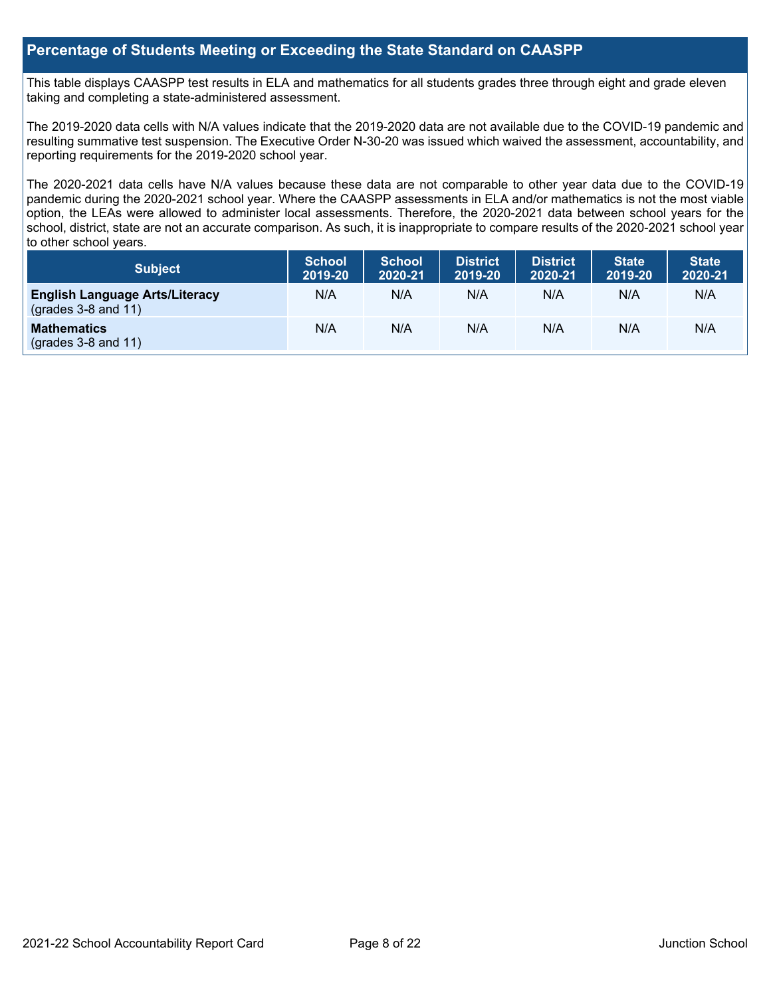#### **Percentage of Students Meeting or Exceeding the State Standard on CAASPP**

This table displays CAASPP test results in ELA and mathematics for all students grades three through eight and grade eleven taking and completing a state-administered assessment.

The 2019-2020 data cells with N/A values indicate that the 2019-2020 data are not available due to the COVID-19 pandemic and resulting summative test suspension. The Executive Order N-30-20 was issued which waived the assessment, accountability, and reporting requirements for the 2019-2020 school year.

The 2020-2021 data cells have N/A values because these data are not comparable to other year data due to the COVID-19 pandemic during the 2020-2021 school year. Where the CAASPP assessments in ELA and/or mathematics is not the most viable option, the LEAs were allowed to administer local assessments. Therefore, the 2020-2021 data between school years for the school, district, state are not an accurate comparison. As such, it is inappropriate to compare results of the 2020-2021 school year to other school years.

| <b>Subject</b>                                                 | <b>School</b><br>2019-20 | <b>School</b><br>2020-21 | <b>District</b><br>2019-20 | <b>District</b><br>2020-21 | <b>State</b><br>2019-20 | <b>State</b><br>2020-21 |
|----------------------------------------------------------------|--------------------------|--------------------------|----------------------------|----------------------------|-------------------------|-------------------------|
| <b>English Language Arts/Literacy</b><br>$(grades 3-8 and 11)$ | N/A                      | N/A                      | N/A                        | N/A                        | N/A                     | N/A                     |
| <b>Mathematics</b><br>(grades $3-8$ and $11$ )                 | N/A                      | N/A                      | N/A                        | N/A                        | N/A                     | N/A                     |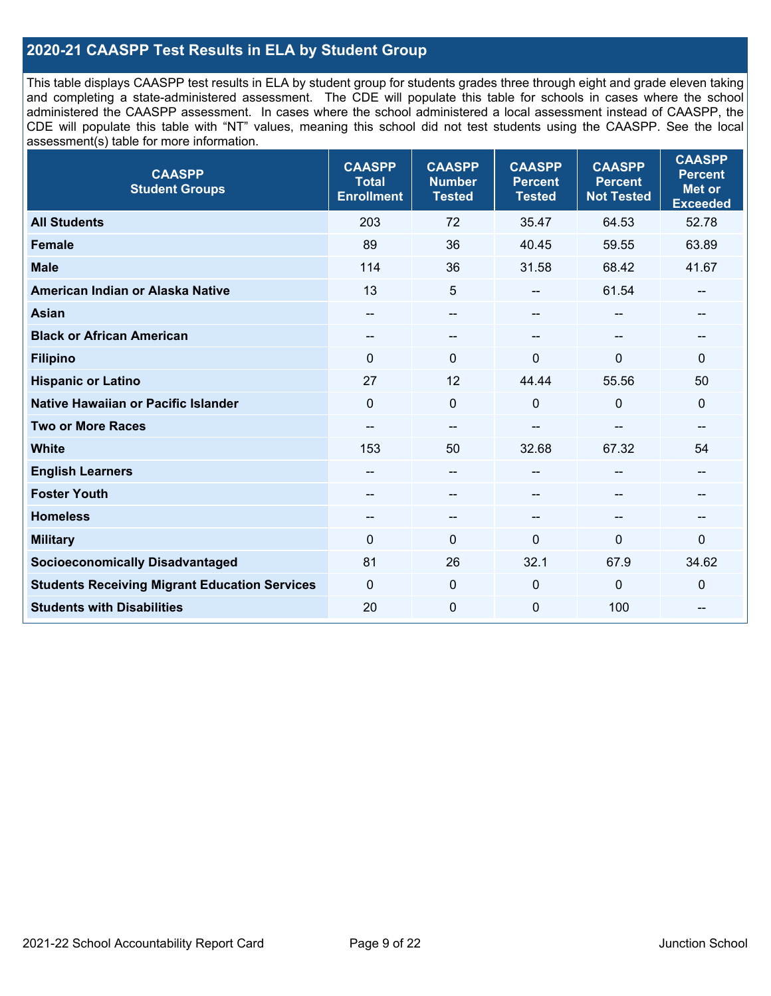## **2020-21 CAASPP Test Results in ELA by Student Group**

This table displays CAASPP test results in ELA by student group for students grades three through eight and grade eleven taking and completing a state-administered assessment. The CDE will populate this table for schools in cases where the school administered the CAASPP assessment. In cases where the school administered a local assessment instead of CAASPP, the CDE will populate this table with "NT" values, meaning this school did not test students using the CAASPP. See the local assessment(s) table for more information.

| <b>CAASPP</b><br><b>Student Groups</b>               | <b>CAASPP</b><br><b>Total</b><br><b>Enrollment</b> | <b>CAASPP</b><br><b>Number</b><br><b>Tested</b> | <b>CAASPP</b><br><b>Percent</b><br><b>Tested</b> | <b>CAASPP</b><br><b>Percent</b><br><b>Not Tested</b> | <b>CAASPP</b><br><b>Percent</b><br>Met or<br><b>Exceeded</b> |
|------------------------------------------------------|----------------------------------------------------|-------------------------------------------------|--------------------------------------------------|------------------------------------------------------|--------------------------------------------------------------|
| <b>All Students</b>                                  | 203                                                | 72                                              | 35.47                                            | 64.53                                                | 52.78                                                        |
| Female                                               | 89                                                 | 36                                              | 40.45                                            | 59.55                                                | 63.89                                                        |
| <b>Male</b>                                          | 114                                                | 36                                              | 31.58                                            | 68.42                                                | 41.67                                                        |
| American Indian or Alaska Native                     | 13                                                 | 5                                               | --                                               | 61.54                                                | --                                                           |
| <b>Asian</b>                                         |                                                    | $\qquad \qquad -$                               |                                                  |                                                      |                                                              |
| <b>Black or African American</b>                     | $\overline{\phantom{a}}$                           | $\overline{\phantom{m}}$                        | --                                               | $\qquad \qquad \qquad -$                             | --                                                           |
| <b>Filipino</b>                                      | $\Omega$                                           | $\Omega$                                        | $\Omega$                                         | $\mathbf 0$                                          | $\Omega$                                                     |
| <b>Hispanic or Latino</b>                            | 27                                                 | 12                                              | 44.44                                            | 55.56                                                | 50                                                           |
| <b>Native Hawaiian or Pacific Islander</b>           | $\mathbf 0$                                        | $\mathbf 0$                                     | $\Omega$                                         | $\mathbf 0$                                          | 0                                                            |
| <b>Two or More Races</b>                             | $\qquad \qquad \qquad -$                           | $\qquad \qquad -$                               |                                                  |                                                      | --                                                           |
| <b>White</b>                                         | 153                                                | 50                                              | 32.68                                            | 67.32                                                | 54                                                           |
| <b>English Learners</b>                              |                                                    | $-\!$ $\!-$                                     |                                                  | $-$                                                  | --                                                           |
| <b>Foster Youth</b>                                  |                                                    | $\overline{\phantom{m}}$                        | --                                               |                                                      | --                                                           |
| <b>Homeless</b>                                      | $-\!$                                              | $\overline{\phantom{m}}$                        | --                                               | $\overline{\phantom{a}}$                             | --                                                           |
| <b>Military</b>                                      | $\Omega$                                           | 0                                               | $\mathbf 0$                                      | $\mathbf{0}$                                         | 0                                                            |
| <b>Socioeconomically Disadvantaged</b>               | 81                                                 | 26                                              | 32.1                                             | 67.9                                                 | 34.62                                                        |
| <b>Students Receiving Migrant Education Services</b> | $\mathbf 0$                                        | 0                                               | $\mathbf 0$                                      | $\mathbf 0$                                          | 0                                                            |
| <b>Students with Disabilities</b>                    | 20                                                 | $\pmb{0}$                                       | $\mathbf 0$                                      | 100                                                  | --                                                           |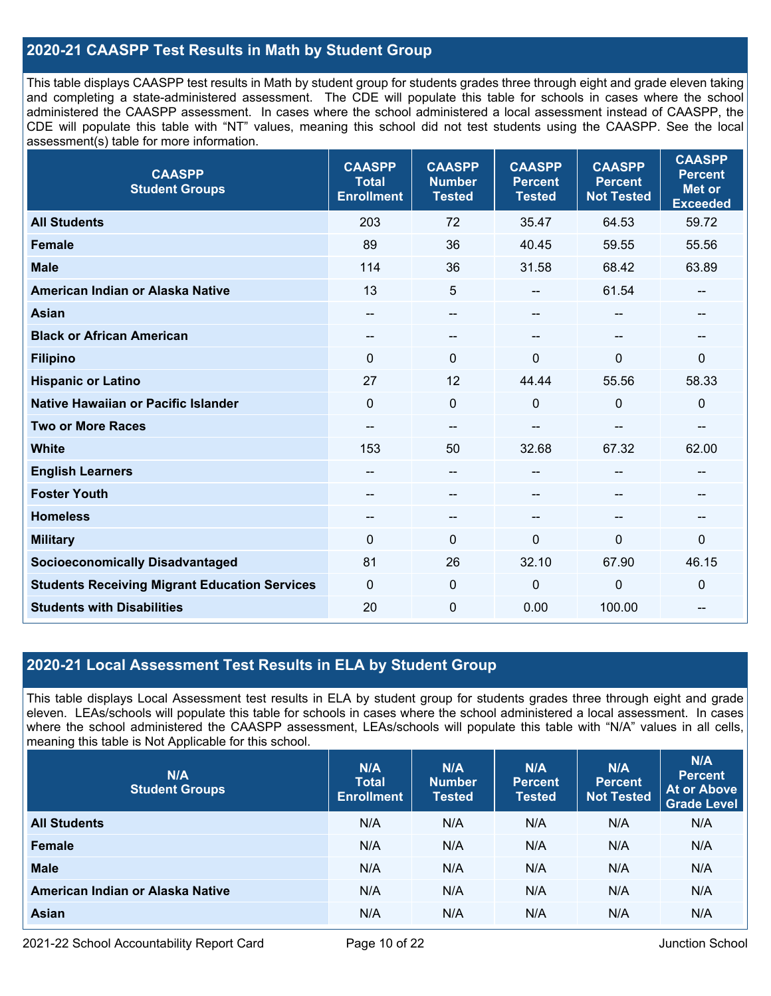### **2020-21 CAASPP Test Results in Math by Student Group**

This table displays CAASPP test results in Math by student group for students grades three through eight and grade eleven taking and completing a state-administered assessment. The CDE will populate this table for schools in cases where the school administered the CAASPP assessment. In cases where the school administered a local assessment instead of CAASPP, the CDE will populate this table with "NT" values, meaning this school did not test students using the CAASPP. See the local assessment(s) table for more information.

| <b>CAASPP</b><br><b>Student Groups</b>               | <b>CAASPP</b><br><b>Total</b><br><b>Enrollment</b> | <b>CAASPP</b><br><b>Number</b><br><b>Tested</b> | <b>CAASPP</b><br><b>Percent</b><br><b>Tested</b> | <b>CAASPP</b><br><b>Percent</b><br><b>Not Tested</b> | <b>CAASPP</b><br><b>Percent</b><br><b>Met or</b><br><b>Exceeded</b> |
|------------------------------------------------------|----------------------------------------------------|-------------------------------------------------|--------------------------------------------------|------------------------------------------------------|---------------------------------------------------------------------|
| <b>All Students</b>                                  | 203                                                | 72                                              | 35.47                                            | 64.53                                                | 59.72                                                               |
| <b>Female</b>                                        | 89                                                 | 36                                              | 40.45                                            | 59.55                                                | 55.56                                                               |
| <b>Male</b>                                          | 114                                                | 36                                              | 31.58                                            | 68.42                                                | 63.89                                                               |
| American Indian or Alaska Native                     | 13                                                 | 5                                               | --                                               | 61.54                                                | $\overline{\phantom{a}}$                                            |
| <b>Asian</b>                                         | $- -$                                              | $\qquad \qquad -$                               | --                                               | $-$                                                  | $-$                                                                 |
| <b>Black or African American</b>                     | $- -$                                              | $\qquad \qquad -$                               | $- -$                                            | $\overline{\phantom{a}}$                             | --                                                                  |
| <b>Filipino</b>                                      | $\mathbf{0}$                                       | $\Omega$                                        | 0                                                | 0                                                    | $\mathbf 0$                                                         |
| <b>Hispanic or Latino</b>                            | 27                                                 | 12                                              | 44.44                                            | 55.56                                                | 58.33                                                               |
| <b>Native Hawaiian or Pacific Islander</b>           | $\Omega$                                           | 0                                               | $\mathbf{0}$                                     | $\Omega$                                             | $\mathbf 0$                                                         |
| <b>Two or More Races</b>                             | --                                                 | --                                              | --                                               | --                                                   | --                                                                  |
| <b>White</b>                                         | 153                                                | 50                                              | 32.68                                            | 67.32                                                | 62.00                                                               |
| <b>English Learners</b>                              |                                                    | --                                              | --                                               |                                                      | --                                                                  |
| <b>Foster Youth</b>                                  |                                                    | --                                              |                                                  |                                                      |                                                                     |
| <b>Homeless</b>                                      | $- -$                                              | $\overline{\phantom{m}}$                        | --                                               | $\qquad \qquad -$                                    | $\qquad \qquad \textbf{---}$                                        |
| <b>Military</b>                                      | 0                                                  | 0                                               | $\mathbf 0$                                      | 0                                                    | $\mathbf 0$                                                         |
| <b>Socioeconomically Disadvantaged</b>               | 81                                                 | 26                                              | 32.10                                            | 67.90                                                | 46.15                                                               |
| <b>Students Receiving Migrant Education Services</b> | $\mathbf{0}$                                       | 0                                               | 0                                                | $\mathbf 0$                                          | $\mathbf 0$                                                         |
| <b>Students with Disabilities</b>                    | 20                                                 | 0                                               | 0.00                                             | 100.00                                               | $\qquad \qquad \textbf{---}$                                        |

### **2020-21 Local Assessment Test Results in ELA by Student Group**

This table displays Local Assessment test results in ELA by student group for students grades three through eight and grade eleven. LEAs/schools will populate this table for schools in cases where the school administered a local assessment. In cases where the school administered the CAASPP assessment, LEAs/schools will populate this table with "N/A" values in all cells, meaning this table is Not Applicable for this school.

| N/A<br><b>Student Groups</b>     | N/A<br><b>Total</b><br><b>Enrollment</b> | N/A<br><b>Number</b><br><b>Tested</b> | N/A<br><b>Percent</b><br><b>Tested</b> | N/A<br><b>Percent</b><br><b>Not Tested</b> | N/A<br><b>Percent</b><br><b>At or Above</b><br>Grade Level |
|----------------------------------|------------------------------------------|---------------------------------------|----------------------------------------|--------------------------------------------|------------------------------------------------------------|
| <b>All Students</b>              | N/A                                      | N/A                                   | N/A                                    | N/A                                        | N/A                                                        |
| Female                           | N/A                                      | N/A                                   | N/A                                    | N/A                                        | N/A                                                        |
| <b>Male</b>                      | N/A                                      | N/A                                   | N/A                                    | N/A                                        | N/A                                                        |
| American Indian or Alaska Native | N/A                                      | N/A                                   | N/A                                    | N/A                                        | N/A                                                        |
| <b>Asian</b>                     | N/A                                      | N/A                                   | N/A                                    | N/A                                        | N/A                                                        |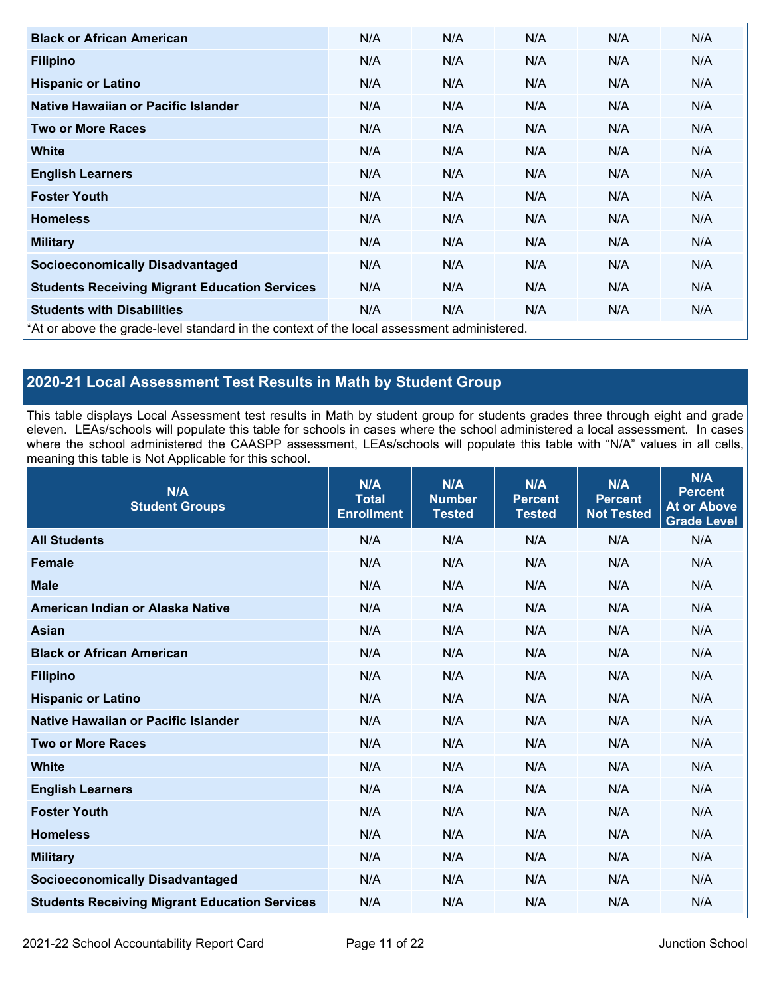| <b>Black or African American</b>                                                           | N/A | N/A | N/A | N/A | N/A |
|--------------------------------------------------------------------------------------------|-----|-----|-----|-----|-----|
| <b>Filipino</b>                                                                            | N/A | N/A | N/A | N/A | N/A |
| <b>Hispanic or Latino</b>                                                                  | N/A | N/A | N/A | N/A | N/A |
| Native Hawaiian or Pacific Islander                                                        | N/A | N/A | N/A | N/A | N/A |
| <b>Two or More Races</b>                                                                   | N/A | N/A | N/A | N/A | N/A |
| <b>White</b>                                                                               | N/A | N/A | N/A | N/A | N/A |
| <b>English Learners</b>                                                                    | N/A | N/A | N/A | N/A | N/A |
| <b>Foster Youth</b>                                                                        | N/A | N/A | N/A | N/A | N/A |
| <b>Homeless</b>                                                                            | N/A | N/A | N/A | N/A | N/A |
| <b>Military</b>                                                                            | N/A | N/A | N/A | N/A | N/A |
| <b>Socioeconomically Disadvantaged</b>                                                     | N/A | N/A | N/A | N/A | N/A |
| <b>Students Receiving Migrant Education Services</b>                                       | N/A | N/A | N/A | N/A | N/A |
| <b>Students with Disabilities</b>                                                          | N/A | N/A | N/A | N/A | N/A |
| *At or above the grade-level standard in the context of the local assessment administered. |     |     |     |     |     |

## **2020-21 Local Assessment Test Results in Math by Student Group**

This table displays Local Assessment test results in Math by student group for students grades three through eight and grade eleven. LEAs/schools will populate this table for schools in cases where the school administered a local assessment. In cases where the school administered the CAASPP assessment, LEAs/schools will populate this table with "N/A" values in all cells, meaning this table is Not Applicable for this school.

| N/A<br><b>Student Groups</b>                         | N/A<br><b>Total</b><br><b>Enrollment</b> | N/A<br><b>Number</b><br><b>Tested</b> | N/A<br><b>Percent</b><br><b>Tested</b> | N/A<br><b>Percent</b><br><b>Not Tested</b> | N/A<br><b>Percent</b><br><b>At or Above</b><br>Grade Level |
|------------------------------------------------------|------------------------------------------|---------------------------------------|----------------------------------------|--------------------------------------------|------------------------------------------------------------|
| <b>All Students</b>                                  | N/A                                      | N/A                                   | N/A                                    | N/A                                        | N/A                                                        |
| <b>Female</b>                                        | N/A                                      | N/A                                   | N/A                                    | N/A                                        | N/A                                                        |
| <b>Male</b>                                          | N/A                                      | N/A                                   | N/A                                    | N/A                                        | N/A                                                        |
| American Indian or Alaska Native                     | N/A                                      | N/A                                   | N/A                                    | N/A                                        | N/A                                                        |
| <b>Asian</b>                                         | N/A                                      | N/A                                   | N/A                                    | N/A                                        | N/A                                                        |
| <b>Black or African American</b>                     | N/A                                      | N/A                                   | N/A                                    | N/A                                        | N/A                                                        |
| <b>Filipino</b>                                      | N/A                                      | N/A                                   | N/A                                    | N/A                                        | N/A                                                        |
| <b>Hispanic or Latino</b>                            | N/A                                      | N/A                                   | N/A                                    | N/A                                        | N/A                                                        |
| Native Hawaiian or Pacific Islander                  | N/A                                      | N/A                                   | N/A                                    | N/A                                        | N/A                                                        |
| <b>Two or More Races</b>                             | N/A                                      | N/A                                   | N/A                                    | N/A                                        | N/A                                                        |
| <b>White</b>                                         | N/A                                      | N/A                                   | N/A                                    | N/A                                        | N/A                                                        |
| <b>English Learners</b>                              | N/A                                      | N/A                                   | N/A                                    | N/A                                        | N/A                                                        |
| <b>Foster Youth</b>                                  | N/A                                      | N/A                                   | N/A                                    | N/A                                        | N/A                                                        |
| <b>Homeless</b>                                      | N/A                                      | N/A                                   | N/A                                    | N/A                                        | N/A                                                        |
| <b>Military</b>                                      | N/A                                      | N/A                                   | N/A                                    | N/A                                        | N/A                                                        |
| <b>Socioeconomically Disadvantaged</b>               | N/A                                      | N/A                                   | N/A                                    | N/A                                        | N/A                                                        |
| <b>Students Receiving Migrant Education Services</b> | N/A                                      | N/A                                   | N/A                                    | N/A                                        | N/A                                                        |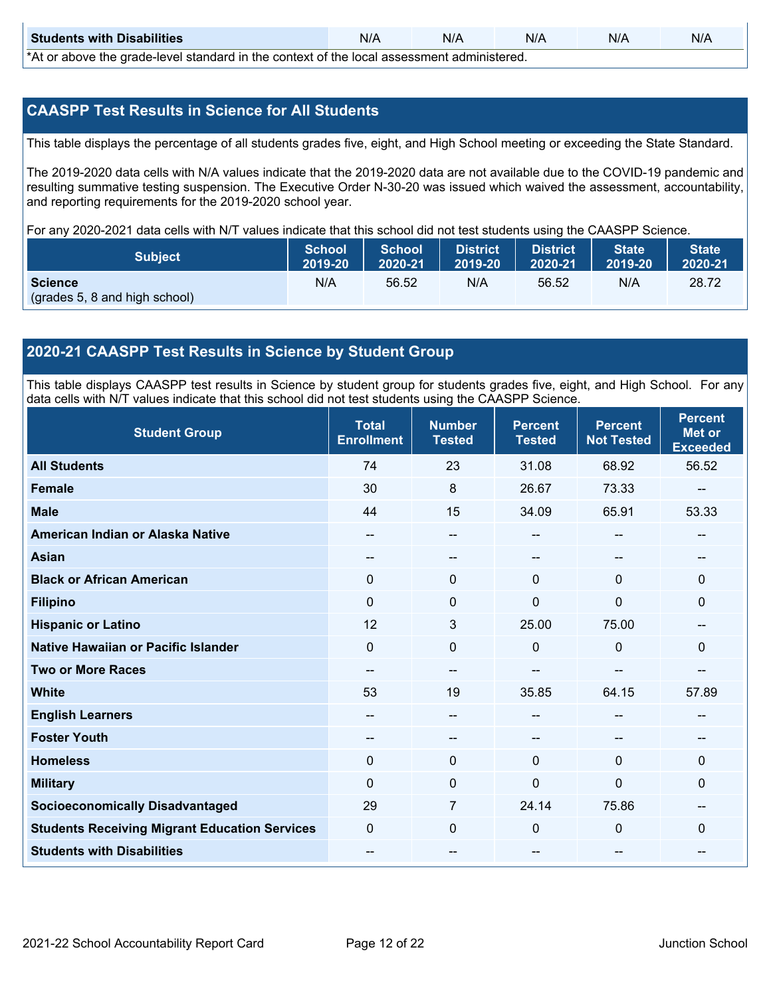| <b>Students with Disabilities</b>                                                             | N/A | N/A | N/A | N/A | N/A |  |  |
|-----------------------------------------------------------------------------------------------|-----|-----|-----|-----|-----|--|--|
| $*$ 4.4 ar aboug the arade louel standard in the context of the legal assessment administered |     |     |     |     |     |  |  |

\*At or above the grade-level standard in the context of the local assessment administered.

#### **CAASPP Test Results in Science for All Students**

This table displays the percentage of all students grades five, eight, and High School meeting or exceeding the State Standard.

The 2019-2020 data cells with N/A values indicate that the 2019-2020 data are not available due to the COVID-19 pandemic and resulting summative testing suspension. The Executive Order N-30-20 was issued which waived the assessment, accountability, and reporting requirements for the 2019-2020 school year.

For any 2020-2021 data cells with N/T values indicate that this school did not test students using the CAASPP Science.

| <b>Subject</b>                                  | <b>School</b> | <b>School</b> | <b>District</b>   | District | State   | State <sup>1</sup> |
|-------------------------------------------------|---------------|---------------|-------------------|----------|---------|--------------------|
|                                                 | 2019-20       | 2020-21       | $ 2019-20\rangle$ | 2020-21  | 2019-20 | 2020-21            |
| <b>Science</b><br>(grades 5, 8 and high school) | N/A           | 56.52         | N/A               | 56.52    | N/A     | 28.72              |

#### **2020-21 CAASPP Test Results in Science by Student Group**

This table displays CAASPP test results in Science by student group for students grades five, eight, and High School. For any data cells with N/T values indicate that this school did not test students using the CAASPP Science.

| <b>Student Group</b>                                 | <b>Total</b><br><b>Enrollment</b> | <b>Number</b><br><b>Tested</b> | <b>Percent</b><br><b>Tested</b> | <b>Percent</b><br><b>Not Tested</b> | <b>Percent</b><br><b>Met or</b><br><b>Exceeded</b> |
|------------------------------------------------------|-----------------------------------|--------------------------------|---------------------------------|-------------------------------------|----------------------------------------------------|
| <b>All Students</b>                                  | 74                                | 23                             | 31.08                           | 68.92                               | 56.52                                              |
| <b>Female</b>                                        | 30                                | 8                              | 26.67                           | 73.33                               |                                                    |
| <b>Male</b>                                          | 44                                | 15                             | 34.09                           | 65.91                               | 53.33                                              |
| American Indian or Alaska Native                     | $\overline{\phantom{m}}$          | $\hspace{0.05cm}$              | $\qquad \qquad -$               | $\overline{\phantom{m}}$            |                                                    |
| <b>Asian</b>                                         | --                                | --                             |                                 | --                                  |                                                    |
| <b>Black or African American</b>                     | 0                                 | 0                              | $\mathbf 0$                     | $\mathbf 0$                         | $\mathbf 0$                                        |
| <b>Filipino</b>                                      | $\Omega$                          | $\Omega$                       | $\Omega$                        | $\Omega$                            | $\mathbf{0}$                                       |
| <b>Hispanic or Latino</b>                            | 12                                | 3                              | 25.00                           | 75.00                               |                                                    |
| Native Hawaiian or Pacific Islander                  | 0                                 | $\mathbf 0$                    | $\mathbf 0$                     | 0                                   | $\mathbf{0}$                                       |
| <b>Two or More Races</b>                             | $-$                               | --                             |                                 |                                     |                                                    |
| <b>White</b>                                         | 53                                | 19                             | 35.85                           | 64.15                               | 57.89                                              |
| <b>English Learners</b>                              | $-$                               | --                             |                                 | $\hspace{0.05cm}$                   |                                                    |
| <b>Foster Youth</b>                                  | --                                | --                             |                                 | --                                  |                                                    |
| <b>Homeless</b>                                      | $\Omega$                          | $\mathbf 0$                    | $\mathbf{0}$                    | $\mathbf{0}$                        | $\mathbf{0}$                                       |
| <b>Military</b>                                      | $\Omega$                          | $\mathbf{0}$                   | $\mathbf{0}$                    | $\mathbf{0}$                        | $\mathbf{0}$                                       |
| <b>Socioeconomically Disadvantaged</b>               | 29                                | $\overline{7}$                 | 24.14                           | 75.86                               | --                                                 |
| <b>Students Receiving Migrant Education Services</b> | $\Omega$                          | $\mathbf 0$                    | $\mathbf 0$                     | $\Omega$                            | $\mathbf{0}$                                       |
| <b>Students with Disabilities</b>                    | $-$                               | --                             |                                 | --                                  | --                                                 |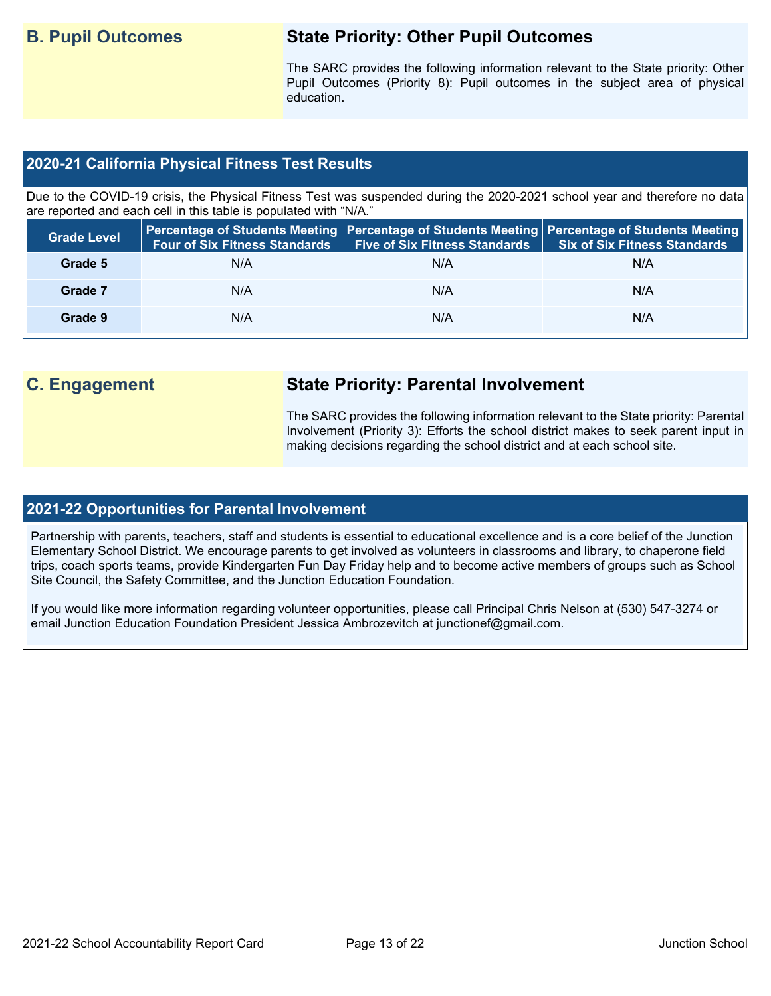## **B. Pupil Outcomes State Priority: Other Pupil Outcomes**

The SARC provides the following information relevant to the State priority: Other Pupil Outcomes (Priority 8): Pupil outcomes in the subject area of physical education.

### **2020-21 California Physical Fitness Test Results**

Due to the COVID-19 crisis, the Physical Fitness Test was suspended during the 2020-2021 school year and therefore no data are reported and each cell in this table is populated with "N/A."

| <b>Grade Level</b> | <b>Four of Six Fitness Standards</b> | Five of Six Fitness Standards   Six of Six Fitness Standards | Percentage of Students Meeting   Percentage of Students Meeting   Percentage of Students Meeting |
|--------------------|--------------------------------------|--------------------------------------------------------------|--------------------------------------------------------------------------------------------------|
| Grade 5            | N/A                                  | N/A                                                          | N/A                                                                                              |
| Grade 7            | N/A                                  | N/A                                                          | N/A                                                                                              |
| Grade 9            | N/A                                  | N/A                                                          | N/A                                                                                              |

## **C. Engagement State Priority: Parental Involvement**

The SARC provides the following information relevant to the State priority: Parental Involvement (Priority 3): Efforts the school district makes to seek parent input in making decisions regarding the school district and at each school site.

### **2021-22 Opportunities for Parental Involvement**

Partnership with parents, teachers, staff and students is essential to educational excellence and is a core belief of the Junction Elementary School District. We encourage parents to get involved as volunteers in classrooms and library, to chaperone field trips, coach sports teams, provide Kindergarten Fun Day Friday help and to become active members of groups such as School Site Council, the Safety Committee, and the Junction Education Foundation.

If you would like more information regarding volunteer opportunities, please call Principal Chris Nelson at (530) 547-3274 or email Junction Education Foundation President Jessica Ambrozevitch at junctionef@gmail.com.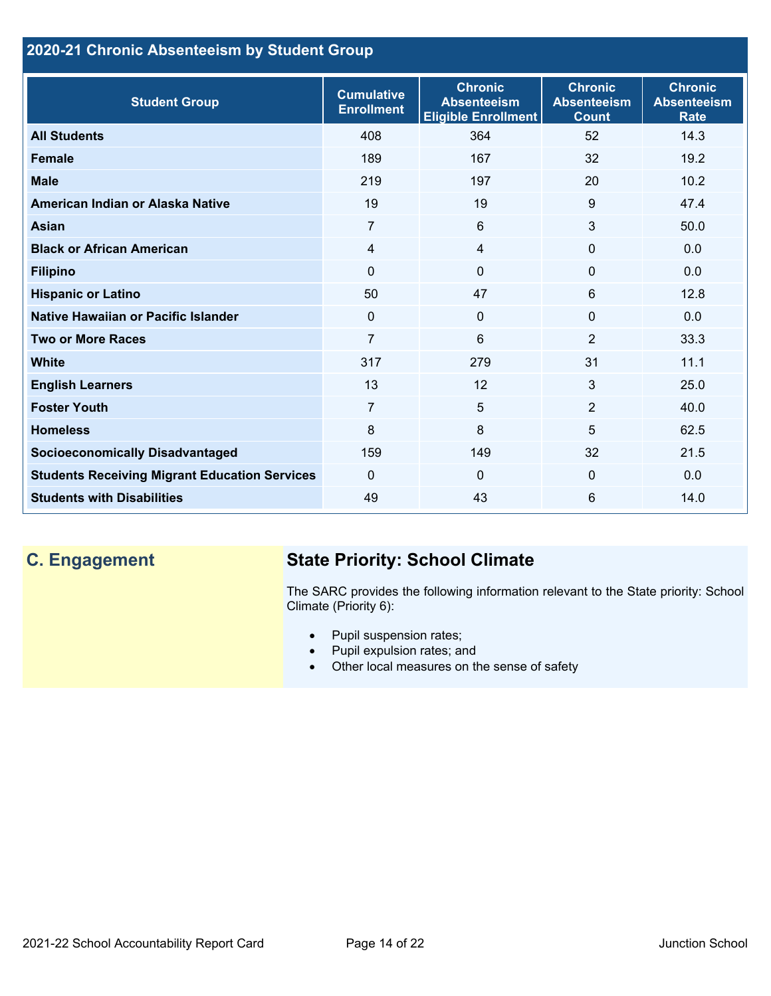## **2020-21 Chronic Absenteeism by Student Group**

| <b>Student Group</b>                                 | <b>Cumulative</b><br><b>Enrollment</b> | <b>Chronic</b><br><b>Absenteeism</b><br><b>Eligible Enrollment</b> | <b>Chronic</b><br><b>Absenteeism</b><br><b>Count</b> | <b>Chronic</b><br><b>Absenteeism</b><br><b>Rate</b> |
|------------------------------------------------------|----------------------------------------|--------------------------------------------------------------------|------------------------------------------------------|-----------------------------------------------------|
| <b>All Students</b>                                  | 408                                    | 364                                                                | 52                                                   | 14.3                                                |
| <b>Female</b>                                        | 189                                    | 167                                                                | 32                                                   | 19.2                                                |
| <b>Male</b>                                          | 219                                    | 197                                                                | 20                                                   | 10.2                                                |
| American Indian or Alaska Native                     | 19                                     | 19                                                                 | 9                                                    | 47.4                                                |
| <b>Asian</b>                                         | $\overline{7}$                         | 6                                                                  | 3                                                    | 50.0                                                |
| <b>Black or African American</b>                     | 4                                      | 4                                                                  | $\mathbf{0}$                                         | 0.0                                                 |
| <b>Filipino</b>                                      | $\mathbf{0}$                           | $\mathbf{0}$                                                       | $\mathbf{0}$                                         | 0.0                                                 |
| <b>Hispanic or Latino</b>                            | 50                                     | 47                                                                 | 6                                                    | 12.8                                                |
| Native Hawaiian or Pacific Islander                  | 0                                      | $\mathbf{0}$                                                       | $\Omega$                                             | 0.0                                                 |
| <b>Two or More Races</b>                             | $\overline{7}$                         | 6                                                                  | $\overline{2}$                                       | 33.3                                                |
| <b>White</b>                                         | 317                                    | 279                                                                | 31                                                   | 11.1                                                |
| <b>English Learners</b>                              | 13                                     | 12                                                                 | 3                                                    | 25.0                                                |
| <b>Foster Youth</b>                                  | $\overline{7}$                         | 5                                                                  | $\overline{2}$                                       | 40.0                                                |
| <b>Homeless</b>                                      | 8                                      | 8                                                                  | 5                                                    | 62.5                                                |
| <b>Socioeconomically Disadvantaged</b>               | 159                                    | 149                                                                | 32                                                   | 21.5                                                |
| <b>Students Receiving Migrant Education Services</b> | $\Omega$                               | 0                                                                  | 0                                                    | 0.0                                                 |
| <b>Students with Disabilities</b>                    | 49                                     | 43                                                                 | 6                                                    | 14.0                                                |

# **C. Engagement State Priority: School Climate**

The SARC provides the following information relevant to the State priority: School Climate (Priority 6):

- Pupil suspension rates;
- Pupil expulsion rates; and
- Other local measures on the sense of safety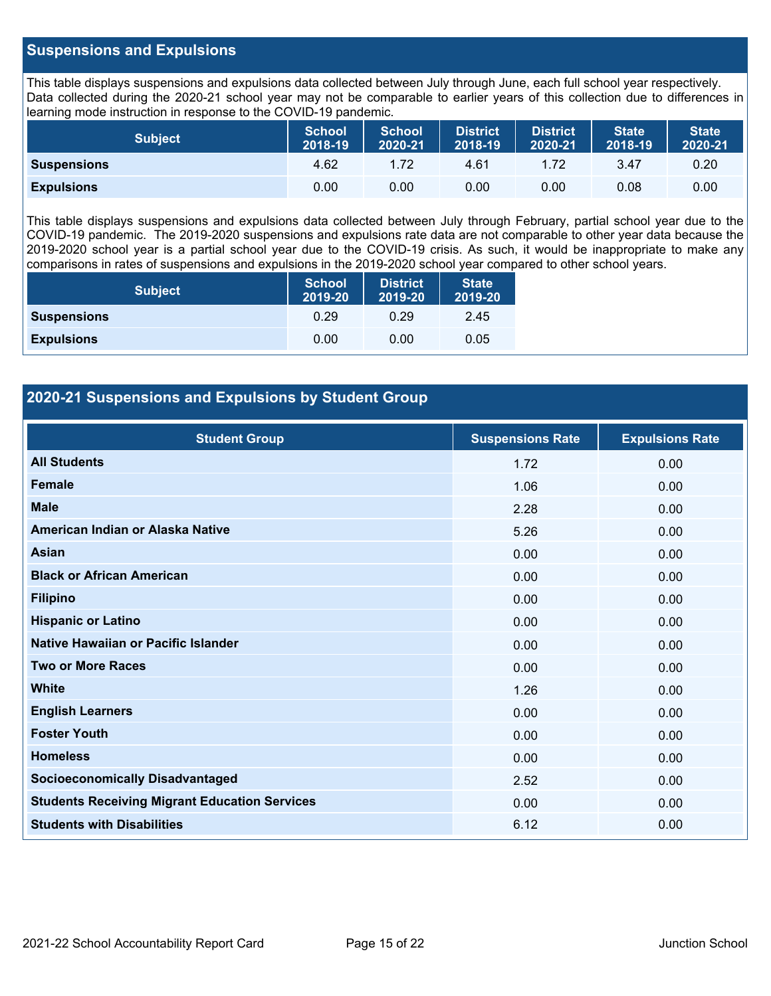#### **Suspensions and Expulsions**

This table displays suspensions and expulsions data collected between July through June, each full school year respectively. Data collected during the 2020-21 school year may not be comparable to earlier years of this collection due to differences in learning mode instruction in response to the COVID-19 pandemic.

| <b>Subject</b>     | <b>School</b><br>2018-19 | <b>School</b><br>2020-21 | District<br>2018-19 | District<br>2020-21 | <b>State</b><br>2018-19 | <b>State</b><br>2020-21 |
|--------------------|--------------------------|--------------------------|---------------------|---------------------|-------------------------|-------------------------|
| <b>Suspensions</b> | 4.62                     | 1.72                     | 4.61                | 1.72                | 3.47                    | 0.20                    |
| <b>Expulsions</b>  | 0.00                     | 0.00                     | 0.00                | 0.00                | 0.08                    | 0.00                    |

This table displays suspensions and expulsions data collected between July through February, partial school year due to the COVID-19 pandemic. The 2019-2020 suspensions and expulsions rate data are not comparable to other year data because the 2019-2020 school year is a partial school year due to the COVID-19 crisis. As such, it would be inappropriate to make any comparisons in rates of suspensions and expulsions in the 2019-2020 school year compared to other school years.

| <b>Subject</b>     | <b>School</b><br>2019-20 | <b>District</b><br>2019-20 | <b>State</b><br>2019-20 |
|--------------------|--------------------------|----------------------------|-------------------------|
| <b>Suspensions</b> | 0.29                     | 0.29                       | 2.45                    |
| <b>Expulsions</b>  | 0.00                     | 0.00                       | 0.05                    |

### **2020-21 Suspensions and Expulsions by Student Group**

| <b>Student Group</b>                                 | <b>Suspensions Rate</b> | <b>Expulsions Rate</b> |
|------------------------------------------------------|-------------------------|------------------------|
| <b>All Students</b>                                  | 1.72                    | 0.00                   |
| <b>Female</b>                                        | 1.06                    | 0.00                   |
| <b>Male</b>                                          | 2.28                    | 0.00                   |
| American Indian or Alaska Native                     | 5.26                    | 0.00                   |
| <b>Asian</b>                                         | 0.00                    | 0.00                   |
| <b>Black or African American</b>                     | 0.00                    | 0.00                   |
| <b>Filipino</b>                                      | 0.00                    | 0.00                   |
| <b>Hispanic or Latino</b>                            | 0.00                    | 0.00                   |
| Native Hawaiian or Pacific Islander                  | 0.00                    | 0.00                   |
| <b>Two or More Races</b>                             | 0.00                    | 0.00                   |
| <b>White</b>                                         | 1.26                    | 0.00                   |
| <b>English Learners</b>                              | 0.00                    | 0.00                   |
| <b>Foster Youth</b>                                  | 0.00                    | 0.00                   |
| <b>Homeless</b>                                      | 0.00                    | 0.00                   |
| <b>Socioeconomically Disadvantaged</b>               | 2.52                    | 0.00                   |
| <b>Students Receiving Migrant Education Services</b> | 0.00                    | 0.00                   |
| <b>Students with Disabilities</b>                    | 6.12                    | 0.00                   |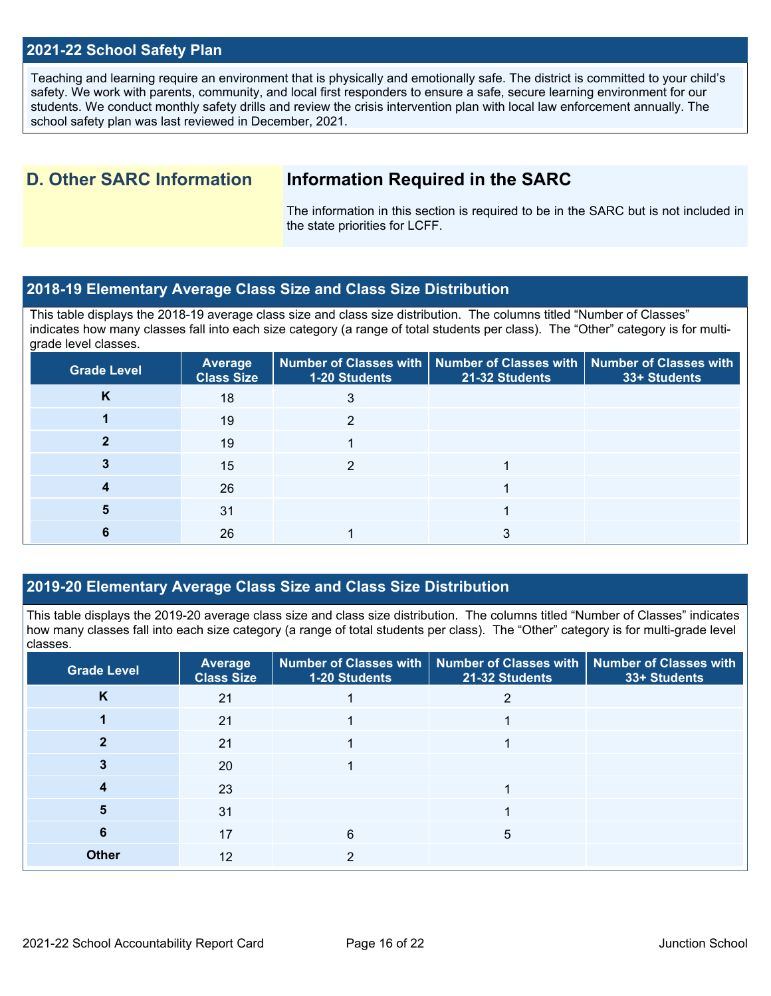#### **2021-22 School Safety Plan**

Teaching and learning require an environment that is physically and emotionally safe. The district is committed to your child's safety. We work with parents, community, and local first responders to ensure a safe, secure learning environment for our students. We conduct monthly safety drills and review the crisis intervention plan with local law enforcement annually. The school safety plan was last reviewed in December, 2021.

## **D. Other SARC Information Information Required in the SARC**

The information in this section is required to be in the SARC but is not included in the state priorities for LCFF.

#### **2018-19 Elementary Average Class Size and Class Size Distribution**

This table displays the 2018-19 average class size and class size distribution. The columns titled "Number of Classes" indicates how many classes fall into each size category (a range of total students per class). The "Other" category is for multigrade level classes.

| <b>Grade Level</b> | <b>Average</b><br><b>Class Size</b> | Number of Classes with   Number of Classes with   Number of Classes with<br>1-20 Students | 21-32 Students | 33+ Students |
|--------------------|-------------------------------------|-------------------------------------------------------------------------------------------|----------------|--------------|
| K                  | 18                                  | 3                                                                                         |                |              |
|                    | 19                                  |                                                                                           |                |              |
|                    | 19                                  |                                                                                           |                |              |
|                    | 15                                  |                                                                                           |                |              |
|                    | 26                                  |                                                                                           |                |              |
|                    | 31                                  |                                                                                           |                |              |
|                    | 26                                  |                                                                                           |                |              |

### **2019-20 Elementary Average Class Size and Class Size Distribution**

This table displays the 2019-20 average class size and class size distribution. The columns titled "Number of Classes" indicates how many classes fall into each size category (a range of total students per class). The "Other" category is for multi-grade level classes.

| <b>Grade Level</b> | <b>Average</b><br><b>Class Size</b> | 1-20 Students | Number of Classes with   Number of Classes with  <br>21-32 Students | <b>Number of Classes with</b><br>33+ Students |
|--------------------|-------------------------------------|---------------|---------------------------------------------------------------------|-----------------------------------------------|
| K                  | 21                                  |               |                                                                     |                                               |
|                    | 21                                  |               |                                                                     |                                               |
|                    | 21                                  |               |                                                                     |                                               |
|                    | 20                                  |               |                                                                     |                                               |
|                    | 23                                  |               |                                                                     |                                               |
| 5                  | 31                                  |               |                                                                     |                                               |
| 6                  | 17                                  | 6             | 5                                                                   |                                               |
| <b>Other</b>       | 12                                  | ົ             |                                                                     |                                               |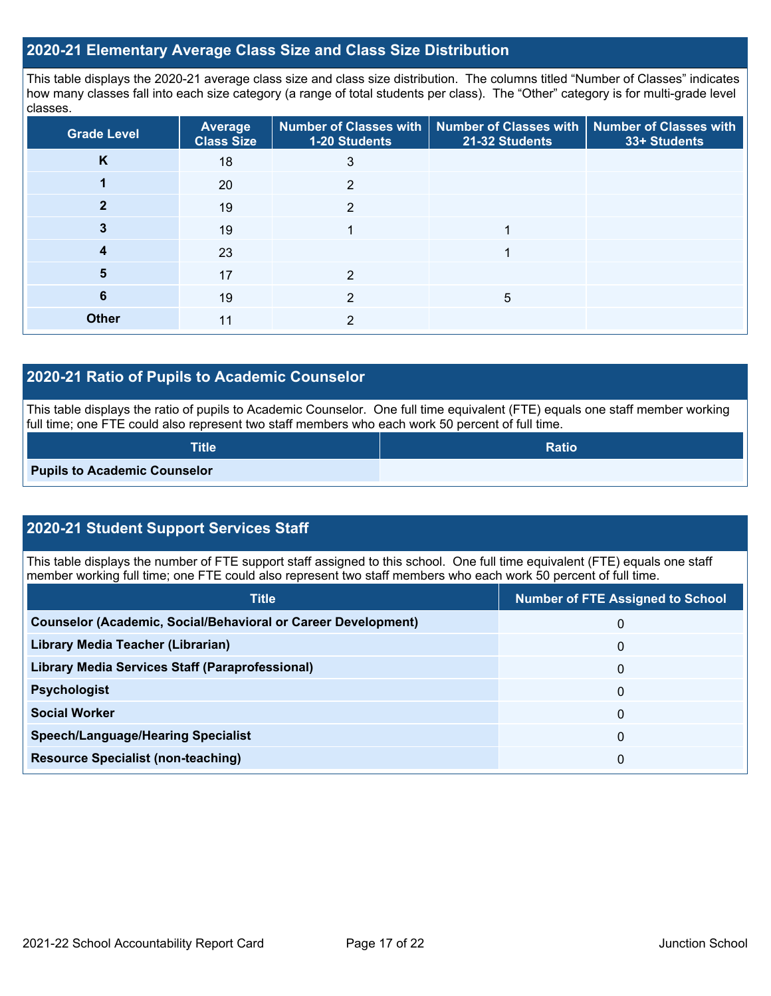#### **2020-21 Elementary Average Class Size and Class Size Distribution**

This table displays the 2020-21 average class size and class size distribution. The columns titled "Number of Classes" indicates how many classes fall into each size category (a range of total students per class). The "Other" category is for multi-grade level classes.

| <b>Grade Level</b> | <b>Average</b><br><b>Class Size</b> | 1-20 Students | Number of Classes with   Number of Classes with   Number of Classes with<br>21-32 Students | 33+ Students |
|--------------------|-------------------------------------|---------------|--------------------------------------------------------------------------------------------|--------------|
| K                  | 18                                  | 3             |                                                                                            |              |
|                    | 20                                  | っ             |                                                                                            |              |
|                    | 19                                  | 2             |                                                                                            |              |
|                    | 19                                  |               |                                                                                            |              |
|                    | 23                                  |               |                                                                                            |              |
| 5                  | 17                                  | っ             |                                                                                            |              |
| 6                  | 19                                  | າ             | 5                                                                                          |              |
| <b>Other</b>       | 11                                  | 2             |                                                                                            |              |

#### **2020-21 Ratio of Pupils to Academic Counselor**

This table displays the ratio of pupils to Academic Counselor. One full time equivalent (FTE) equals one staff member working full time; one FTE could also represent two staff members who each work 50 percent of full time.

| <b>Title</b>                        | Ratio |
|-------------------------------------|-------|
| <b>Pupils to Academic Counselor</b> |       |

## **2020-21 Student Support Services Staff**

This table displays the number of FTE support staff assigned to this school. One full time equivalent (FTE) equals one staff member working full time; one FTE could also represent two staff members who each work 50 percent of full time.

| <b>Title</b>                                                         | <b>Number of FTE Assigned to School</b> |
|----------------------------------------------------------------------|-----------------------------------------|
| <b>Counselor (Academic, Social/Behavioral or Career Development)</b> | 0                                       |
| Library Media Teacher (Librarian)                                    | 0                                       |
| <b>Library Media Services Staff (Paraprofessional)</b>               | $\Omega$                                |
| <b>Psychologist</b>                                                  | 0                                       |
| <b>Social Worker</b>                                                 | $\Omega$                                |
| <b>Speech/Language/Hearing Specialist</b>                            | 0                                       |
| <b>Resource Specialist (non-teaching)</b>                            | 0                                       |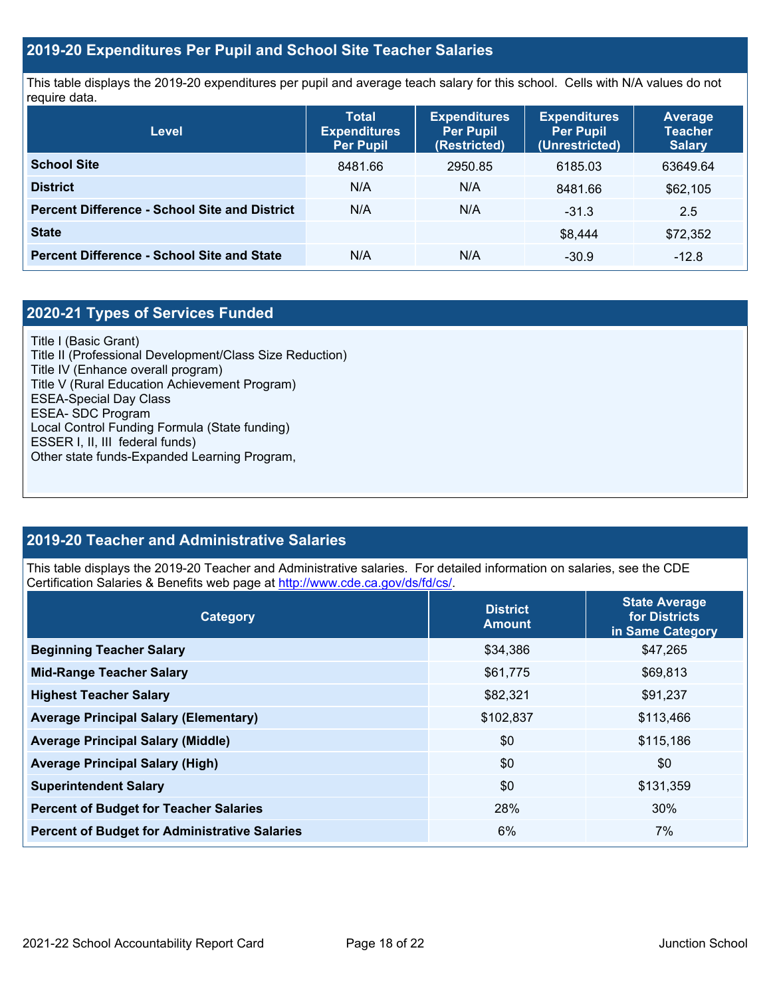### **2019-20 Expenditures Per Pupil and School Site Teacher Salaries**

This table displays the 2019-20 expenditures per pupil and average teach salary for this school. Cells with N/A values do not require data.

| Level                                                | <b>Total</b><br><b>Expenditures</b><br><b>Per Pupil</b> | <b>Expenditures</b><br><b>Per Pupil</b><br>(Restricted) | <b>Expenditures</b><br><b>Per Pupil</b><br>(Unrestricted) | Average<br><b>Teacher</b><br><b>Salary</b> |
|------------------------------------------------------|---------------------------------------------------------|---------------------------------------------------------|-----------------------------------------------------------|--------------------------------------------|
| <b>School Site</b>                                   | 8481.66                                                 | 2950.85                                                 | 6185.03                                                   | 63649.64                                   |
| <b>District</b>                                      | N/A                                                     | N/A                                                     | 8481.66                                                   | \$62,105                                   |
| <b>Percent Difference - School Site and District</b> | N/A                                                     | N/A                                                     | $-31.3$                                                   | 2.5                                        |
| <b>State</b>                                         |                                                         |                                                         | \$8.444                                                   | \$72,352                                   |
| <b>Percent Difference - School Site and State</b>    | N/A                                                     | N/A                                                     | $-30.9$                                                   | $-12.8$                                    |

## **2020-21 Types of Services Funded**

Title I (Basic Grant) Title II (Professional Development/Class Size Reduction) Title IV (Enhance overall program) Title V (Rural Education Achievement Program) ESEA-Special Day Class ESEA- SDC Program Local Control Funding Formula (State funding) ESSER I, II, III federal funds) Other state funds-Expanded Learning Program,

### **2019-20 Teacher and Administrative Salaries**

This table displays the 2019-20 Teacher and Administrative salaries. For detailed information on salaries, see the CDE Certification Salaries & Benefits web page at<http://www.cde.ca.gov/ds/fd/cs/>.

| Category                                             | <b>District</b><br><b>Amount</b> | <b>State Average</b><br>for Districts<br>in Same Category |
|------------------------------------------------------|----------------------------------|-----------------------------------------------------------|
| <b>Beginning Teacher Salary</b>                      | \$34,386                         | \$47,265                                                  |
| <b>Mid-Range Teacher Salary</b>                      | \$61,775                         | \$69,813                                                  |
| <b>Highest Teacher Salary</b>                        | \$82,321                         | \$91,237                                                  |
| <b>Average Principal Salary (Elementary)</b>         | \$102,837                        | \$113,466                                                 |
| <b>Average Principal Salary (Middle)</b>             | \$0                              | \$115,186                                                 |
| <b>Average Principal Salary (High)</b>               | \$0                              | \$0                                                       |
| <b>Superintendent Salary</b>                         | \$0                              | \$131,359                                                 |
| <b>Percent of Budget for Teacher Salaries</b>        | 28%                              | 30%                                                       |
| <b>Percent of Budget for Administrative Salaries</b> | 6%                               | 7%                                                        |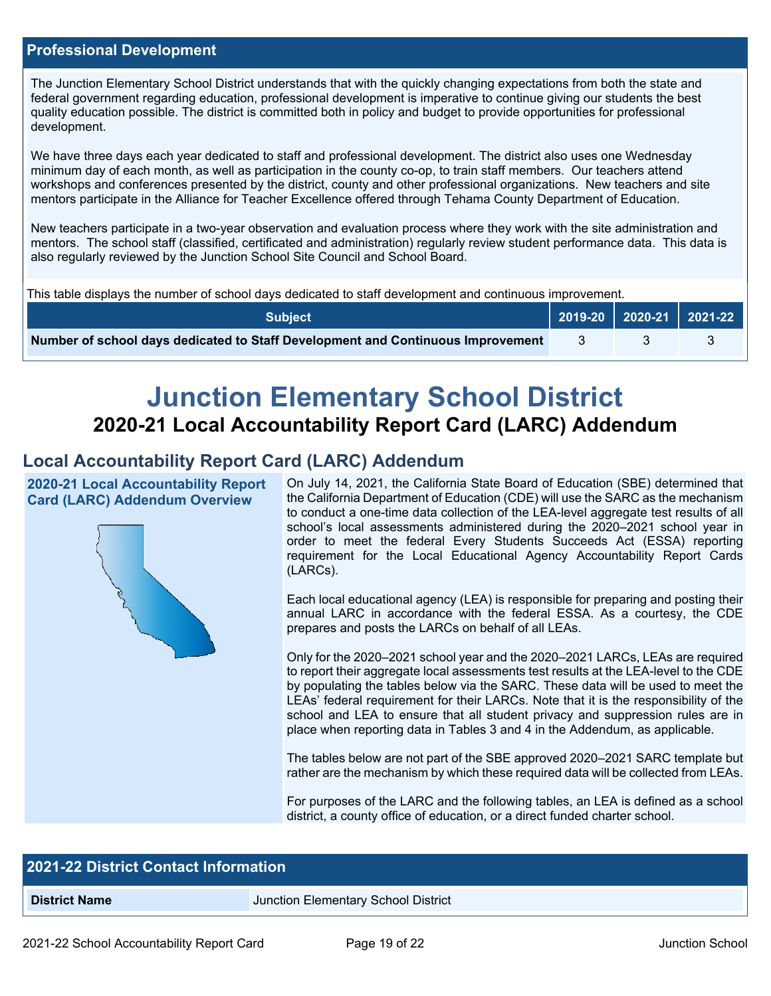#### **Professional Development**

The Junction Elementary School District understands that with the quickly changing expectations from both the state and federal government regarding education, professional development is imperative to continue giving our students the best quality education possible. The district is committed both in policy and budget to provide opportunities for professional development.

We have three days each year dedicated to staff and professional development. The district also uses one Wednesday minimum day of each month, as well as participation in the county co-op, to train staff members. Our teachers attend workshops and conferences presented by the district, county and other professional organizations. New teachers and site mentors participate in the Alliance for Teacher Excellence offered through Tehama County Department of Education.

New teachers participate in a two-year observation and evaluation process where they work with the site administration and mentors. The school staff (classified, certificated and administration) regularly review student performance data. This data is also regularly reviewed by the Junction School Site Council and School Board.

This table displays the number of school days dedicated to staff development and continuous improvement.

| <b>Subiect</b> '                                                                |  | $\sqrt{2019-20}$ 2020-21 2021-22 |
|---------------------------------------------------------------------------------|--|----------------------------------|
| Number of school days dedicated to Staff Development and Continuous Improvement |  |                                  |

# **Junction Elementary School District 2020-21 Local Accountability Report Card (LARC) Addendum**

## **Local Accountability Report Card (LARC) Addendum**

**2020-21 Local Accountability Report Card (LARC) Addendum Overview**



On July 14, 2021, the California State Board of Education (SBE) determined that the California Department of Education (CDE) will use the SARC as the mechanism to conduct a one-time data collection of the LEA-level aggregate test results of all school's local assessments administered during the 2020–2021 school year in order to meet the federal Every Students Succeeds Act (ESSA) reporting requirement for the Local Educational Agency Accountability Report Cards (LARCs).

Each local educational agency (LEA) is responsible for preparing and posting their annual LARC in accordance with the federal ESSA. As a courtesy, the CDE prepares and posts the LARCs on behalf of all LEAs.

Only for the 2020–2021 school year and the 2020–2021 LARCs, LEAs are required to report their aggregate local assessments test results at the LEA-level to the CDE by populating the tables below via the SARC. These data will be used to meet the LEAs' federal requirement for their LARCs. Note that it is the responsibility of the school and LEA to ensure that all student privacy and suppression rules are in place when reporting data in Tables 3 and 4 in the Addendum, as applicable.

The tables below are not part of the SBE approved 2020–2021 SARC template but rather are the mechanism by which these required data will be collected from LEAs.

For purposes of the LARC and the following tables, an LEA is defined as a school district, a county office of education, or a direct funded charter school.

| <b>2021-22 District Contact Information</b> |                                     |  |  |
|---------------------------------------------|-------------------------------------|--|--|
| <b>District Name</b>                        | Junction Elementary School District |  |  |
|                                             |                                     |  |  |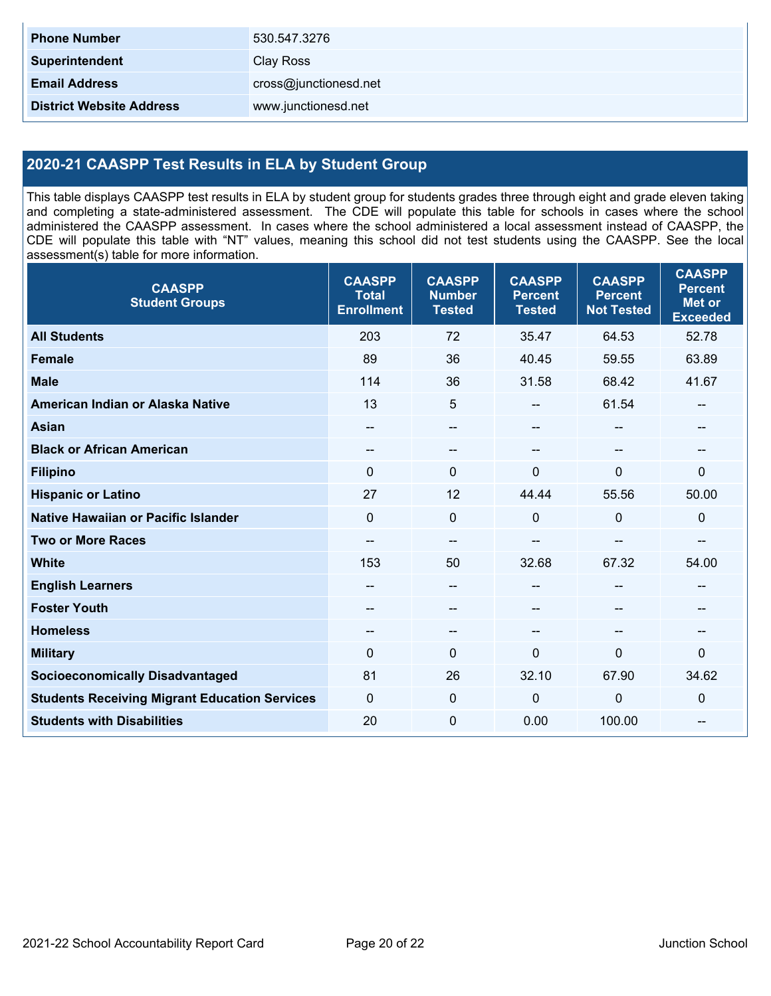| <b>Phone Number</b>             | 530.547.3276          |
|---------------------------------|-----------------------|
| <b>Superintendent</b>           | Clay Ross             |
| <b>Email Address</b>            | cross@junctionesd.net |
| <b>District Website Address</b> | www.junctionesd.net   |

## **2020-21 CAASPP Test Results in ELA by Student Group**

This table displays CAASPP test results in ELA by student group for students grades three through eight and grade eleven taking and completing a state-administered assessment. The CDE will populate this table for schools in cases where the school administered the CAASPP assessment. In cases where the school administered a local assessment instead of CAASPP, the CDE will populate this table with "NT" values, meaning this school did not test students using the CAASPP. See the local assessment(s) table for more information.

| <b>CAASPP</b><br><b>Student Groups</b>               | <b>CAASPP</b><br><b>Total</b><br><b>Enrollment</b> | <b>CAASPP</b><br><b>Number</b><br><b>Tested</b> | <b>CAASPP</b><br><b>Percent</b><br><b>Tested</b> | <b>CAASPP</b><br><b>Percent</b><br><b>Not Tested</b> | <b>CAASPP</b><br><b>Percent</b><br>Met or<br><b>Exceeded</b> |
|------------------------------------------------------|----------------------------------------------------|-------------------------------------------------|--------------------------------------------------|------------------------------------------------------|--------------------------------------------------------------|
| <b>All Students</b>                                  | 203                                                | 72                                              | 35.47                                            | 64.53                                                | 52.78                                                        |
| <b>Female</b>                                        | 89                                                 | 36                                              | 40.45                                            | 59.55                                                | 63.89                                                        |
| <b>Male</b>                                          | 114                                                | 36                                              | 31.58                                            | 68.42                                                | 41.67                                                        |
| American Indian or Alaska Native                     | 13                                                 | 5                                               | --                                               | 61.54                                                | --                                                           |
| <b>Asian</b>                                         | $\hspace{0.05cm}$                                  | $-$                                             | --                                               |                                                      | --                                                           |
| <b>Black or African American</b>                     |                                                    | --                                              | --                                               |                                                      | --                                                           |
| <b>Filipino</b>                                      | $\Omega$                                           | $\mathbf{0}$                                    | $\Omega$                                         | $\mathbf{0}$                                         | $\Omega$                                                     |
| <b>Hispanic or Latino</b>                            | 27                                                 | 12                                              | 44.44                                            | 55.56                                                | 50.00                                                        |
| <b>Native Hawaiian or Pacific Islander</b>           | $\mathbf 0$                                        | $\mathbf 0$                                     | 0                                                | $\overline{0}$                                       | 0                                                            |
| <b>Two or More Races</b>                             |                                                    | --                                              |                                                  |                                                      | --                                                           |
| <b>White</b>                                         | 153                                                | 50                                              | 32.68                                            | 67.32                                                | 54.00                                                        |
| <b>English Learners</b>                              |                                                    | $\qquad \qquad -$                               | --                                               | --                                                   |                                                              |
| <b>Foster Youth</b>                                  |                                                    | $-$                                             | --                                               |                                                      | --                                                           |
| <b>Homeless</b>                                      | $\hspace{0.05cm}$ – $\hspace{0.05cm}$              | $-$                                             | $- -$                                            | $\overline{\phantom{a}}$                             | --                                                           |
| <b>Military</b>                                      | 0                                                  | 0                                               | 0                                                | $\mathbf{0}$                                         | 0                                                            |
| <b>Socioeconomically Disadvantaged</b>               | 81                                                 | 26                                              | 32.10                                            | 67.90                                                | 34.62                                                        |
| <b>Students Receiving Migrant Education Services</b> | 0                                                  | 0                                               | 0                                                | $\mathbf 0$                                          | 0                                                            |
| <b>Students with Disabilities</b>                    | 20                                                 | $\mathbf 0$                                     | 0.00                                             | 100.00                                               | --                                                           |